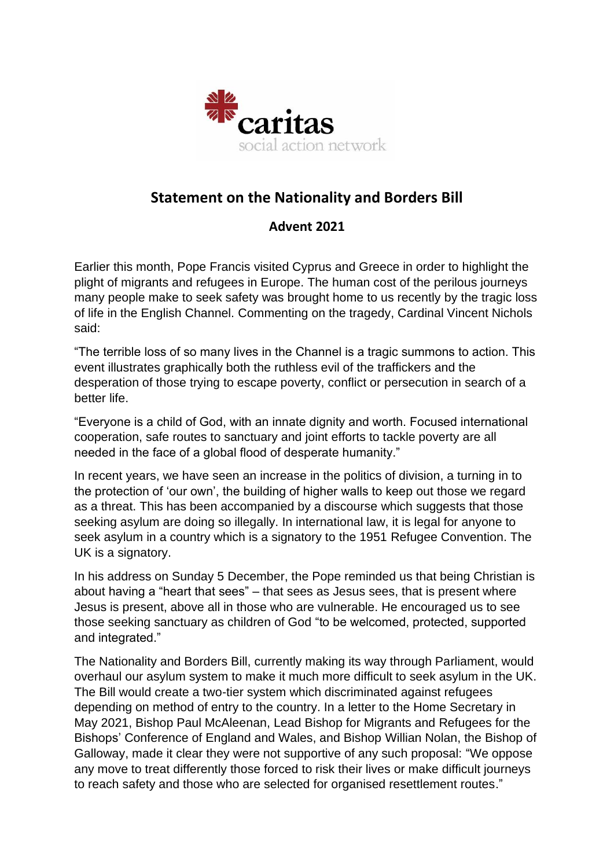

## **Statement on the Nationality and Borders Bill**

## **Advent 2021**

Earlier this month, Pope Francis visited Cyprus and Greece in order to highlight the plight of migrants and refugees in Europe. The human cost of the perilous journeys many people make to seek safety was brought home to us recently by the tragic loss of life in the English Channel. Commenting on the tragedy, Cardinal Vincent Nichols said:

"The terrible loss of so many lives in the Channel is a tragic summons to action. This event illustrates graphically both the ruthless evil of the traffickers and the desperation of those trying to escape poverty, conflict or persecution in search of a better life.

"Everyone is a child of God, with an innate dignity and worth. Focused international cooperation, safe routes to sanctuary and joint efforts to tackle poverty are all needed in the face of a global flood of desperate humanity."

In recent years, we have seen an increase in the politics of division, a turning in to the protection of 'our own', the building of higher walls to keep out those we regard as a threat. This has been accompanied by a discourse which suggests that those seeking asylum are doing so illegally. In international law, it is legal for anyone to seek asylum in a country which is a signatory to the 1951 Refugee Convention. The UK is a signatory.

In his address on Sunday 5 December, the Pope reminded us that being Christian is about having a "heart that sees" – that sees as Jesus sees, that is present where Jesus is present, above all in those who are vulnerable. He encouraged us to see those seeking sanctuary as children of God "to be welcomed, protected, supported and integrated."

The Nationality and Borders Bill, currently making its way through Parliament, would overhaul our asylum system to make it much more difficult to seek asylum in the UK. The Bill would create a two-tier system which discriminated against refugees depending on method of entry to the country. In a letter to the Home Secretary in May 2021, Bishop Paul McAleenan, Lead Bishop for Migrants and Refugees for the Bishops' Conference of England and Wales, and Bishop Willian Nolan, the Bishop of Galloway, made it clear they were not supportive of any such proposal: "We oppose any move to treat differently those forced to risk their lives or make difficult journeys to reach safety and those who are selected for organised resettlement routes."